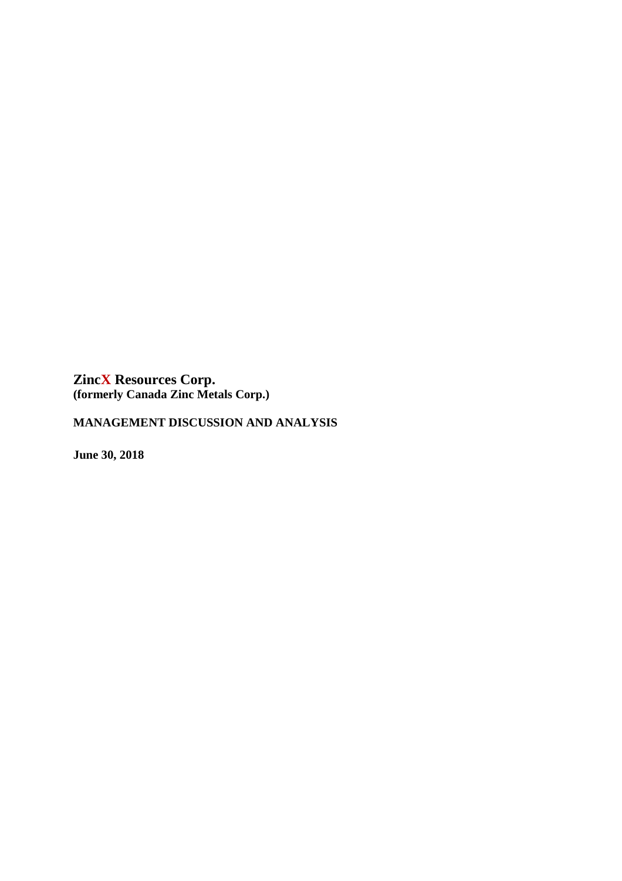# **MANAGEMENT DISCUSSION AND ANALYSIS**

**June 30, 2018**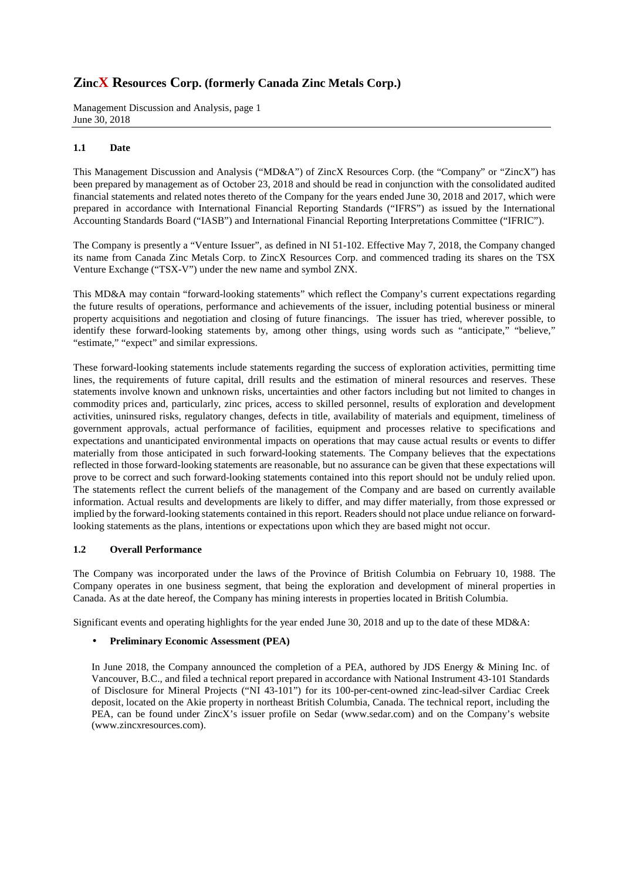Management Discussion and Analysis, page 1 June 30, 2018

## **1.1 Date**

This Management Discussion and Analysis ("MD&A") of ZincX Resources Corp. (the "Company" or "ZincX") has been prepared by management as of October 23, 2018 and should be read in conjunction with the consolidated audited financial statements and related notes thereto of the Company for the years ended June 30, 2018 and 2017, which were prepared in accordance with International Financial Reporting Standards ("IFRS") as issued by the International Accounting Standards Board ("IASB") and International Financial Reporting Interpretations Committee ("IFRIC").

The Company is presently a "Venture Issuer", as defined in NI 51-102. Effective May 7, 2018, the Company changed its name from Canada Zinc Metals Corp. to ZincX Resources Corp. and commenced trading its shares on the TSX Venture Exchange ("TSX-V") under the new name and symbol ZNX.

This MD&A may contain "forward-looking statements" which reflect the Company's current expectations regarding the future results of operations, performance and achievements of the issuer, including potential business or mineral property acquisitions and negotiation and closing of future financings. The issuer has tried, wherever possible, to identify these forward-looking statements by, among other things, using words such as "anticipate," "believe," "estimate," "expect" and similar expressions.

These forward-looking statements include statements regarding the success of exploration activities, permitting time lines, the requirements of future capital, drill results and the estimation of mineral resources and reserves. These statements involve known and unknown risks, uncertainties and other factors including but not limited to changes in commodity prices and, particularly, zinc prices, access to skilled personnel, results of exploration and development activities, uninsured risks, regulatory changes, defects in title, availability of materials and equipment, timeliness of government approvals, actual performance of facilities, equipment and processes relative to specifications and expectations and unanticipated environmental impacts on operations that may cause actual results or events to differ materially from those anticipated in such forward-looking statements. The Company believes that the expectations reflected in those forward-looking statements are reasonable, but no assurance can be given that these expectations will prove to be correct and such forward-looking statements contained into this report should not be unduly relied upon. The statements reflect the current beliefs of the management of the Company and are based on currently available information. Actual results and developments are likely to differ, and may differ materially, from those expressed or implied by the forward-looking statements contained in this report. Readers should not place undue reliance on forwardlooking statements as the plans, intentions or expectations upon which they are based might not occur.

## **1.2 Overall Performance**

The Company was incorporated under the laws of the Province of British Columbia on February 10, 1988. The Company operates in one business segment, that being the exploration and development of mineral properties in Canada. As at the date hereof, the Company has mining interests in properties located in British Columbia.

Significant events and operating highlights for the year ended June 30, 2018 and up to the date of these MD&A:

## • **Preliminary Economic Assessment (PEA)**

In June 2018, the Company announced the completion of a PEA, authored by JDS Energy & Mining Inc. of Vancouver, B.C., and filed a technical report prepared in accordance with National Instrument 43-101 Standards of Disclosure for Mineral Projects ("NI 43-101") for its 100-per-cent-owned zinc-lead-silver Cardiac Creek deposit, located on the Akie property in northeast British Columbia, Canada. The technical report, including the PEA, can be found under ZincX's issuer profile on Sedar (www.sedar.com) and on the Company's website (www.zincxresources.com).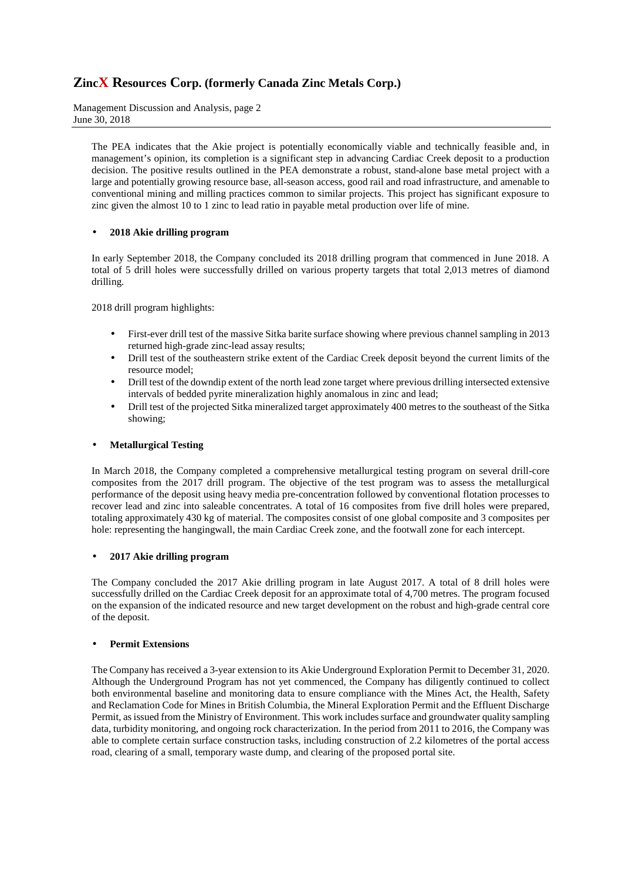Management Discussion and Analysis, page 2 June 30, 2018

The PEA indicates that the Akie project is potentially economically viable and technically feasible and, in management's opinion, its completion is a significant step in advancing Cardiac Creek deposit to a production decision. The positive results outlined in the PEA demonstrate a robust, stand-alone base metal project with a large and potentially growing resource base, all-season access, good rail and road infrastructure, and amenable to conventional mining and milling practices common to similar projects. This project has significant exposure to zinc given the almost 10 to 1 zinc to lead ratio in payable metal production over life of mine.

## • **2018 Akie drilling program**

In early September 2018, the Company concluded its 2018 drilling program that commenced in June 2018. A total of 5 drill holes were successfully drilled on various property targets that total 2,013 metres of diamond drilling.

2018 drill program highlights:

- First-ever drill test of the massive Sitka barite surface showing where previous channel sampling in 2013 returned high-grade zinc-lead assay results;
- Drill test of the southeastern strike extent of the Cardiac Creek deposit beyond the current limits of the resource model;
- Drill test of the downdip extent of the north lead zone target where previous drilling intersected extensive intervals of bedded pyrite mineralization highly anomalous in zinc and lead;
- Drill test of the projected Sitka mineralized target approximately 400 metres to the southeast of the Sitka showing;

## • **Metallurgical Testing**

In March 2018, the Company completed a comprehensive metallurgical testing program on several drill-core composites from the 2017 drill program. The objective of the test program was to assess the metallurgical performance of the deposit using heavy media pre-concentration followed by conventional flotation processes to recover lead and zinc into saleable concentrates. A total of 16 composites from five drill holes were prepared, totaling approximately 430 kg of material. The composites consist of one global composite and 3 composites per hole: representing the hangingwall, the main Cardiac Creek zone, and the footwall zone for each intercept.

## • **2017 Akie drilling program**

The Company concluded the 2017 Akie drilling program in late August 2017. A total of 8 drill holes were successfully drilled on the Cardiac Creek deposit for an approximate total of 4,700 metres. The program focused on the expansion of the indicated resource and new target development on the robust and high-grade central core of the deposit.

## • **Permit Extensions**

The Company has received a 3-year extension to its Akie Underground Exploration Permit to December 31, 2020. Although the Underground Program has not yet commenced, the Company has diligently continued to collect both environmental baseline and monitoring data to ensure compliance with the Mines Act, the Health, Safety and Reclamation Code for Mines in British Columbia, the Mineral Exploration Permit and the Effluent Discharge Permit, as issued from the Ministry of Environment. This work includes surface and groundwater quality sampling data, turbidity monitoring, and ongoing rock characterization. In the period from 2011 to 2016, the Company was able to complete certain surface construction tasks, including construction of 2.2 kilometres of the portal access road, clearing of a small, temporary waste dump, and clearing of the proposed portal site.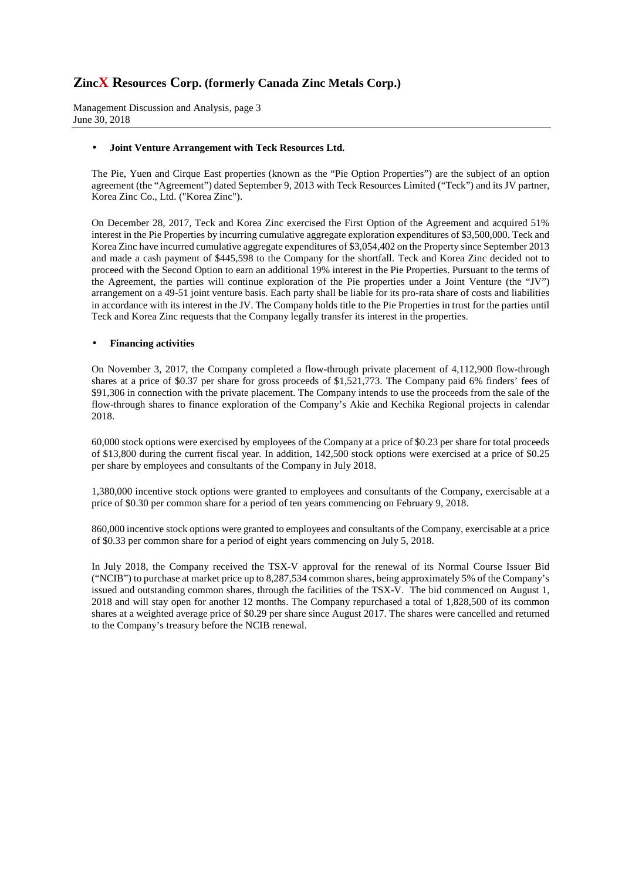Management Discussion and Analysis, page 3 June 30, 2018

## • **Joint Venture Arrangement with Teck Resources Ltd.**

The Pie, Yuen and Cirque East properties (known as the "Pie Option Properties") are the subject of an option agreement (the "Agreement") dated September 9, 2013 with Teck Resources Limited ("Teck") and its JV partner, Korea Zinc Co., Ltd. ("Korea Zinc").

On December 28, 2017, Teck and Korea Zinc exercised the First Option of the Agreement and acquired 51% interest in the Pie Properties by incurring cumulative aggregate exploration expenditures of \$3,500,000. Teck and Korea Zinc have incurred cumulative aggregate expenditures of \$3,054,402 on the Property since September 2013 and made a cash payment of \$445,598 to the Company for the shortfall. Teck and Korea Zinc decided not to proceed with the Second Option to earn an additional 19% interest in the Pie Properties. Pursuant to the terms of the Agreement, the parties will continue exploration of the Pie properties under a Joint Venture (the "JV") arrangement on a 49-51 joint venture basis. Each party shall be liable for its pro-rata share of costs and liabilities in accordance with its interest in the JV. The Company holds title to the Pie Properties in trust for the parties until Teck and Korea Zinc requests that the Company legally transfer its interest in the properties.

#### • **Financing activities**

On November 3, 2017, the Company completed a flow-through private placement of 4,112,900 flow-through shares at a price of \$0.37 per share for gross proceeds of \$1,521,773. The Company paid 6% finders' fees of \$91,306 in connection with the private placement. The Company intends to use the proceeds from the sale of the flow-through shares to finance exploration of the Company's Akie and Kechika Regional projects in calendar 2018.

60,000 stock options were exercised by employees of the Company at a price of \$0.23 per share for total proceeds of \$13,800 during the current fiscal year. In addition, 142,500 stock options were exercised at a price of \$0.25 per share by employees and consultants of the Company in July 2018.

1,380,000 incentive stock options were granted to employees and consultants of the Company, exercisable at a price of \$0.30 per common share for a period of ten years commencing on February 9, 2018.

860,000 incentive stock options were granted to employees and consultants of the Company, exercisable at a price of \$0.33 per common share for a period of eight years commencing on July 5, 2018.

In July 2018, the Company received the TSX-V approval for the renewal of its Normal Course Issuer Bid ("NCIB") to purchase at market price up to 8,287,534 common shares, being approximately 5% of the Company's issued and outstanding common shares, through the facilities of the TSX-V. The bid commenced on August 1, 2018 and will stay open for another 12 months. The Company repurchased a total of 1,828,500 of its common shares at a weighted average price of \$0.29 per share since August 2017. The shares were cancelled and returned to the Company's treasury before the NCIB renewal.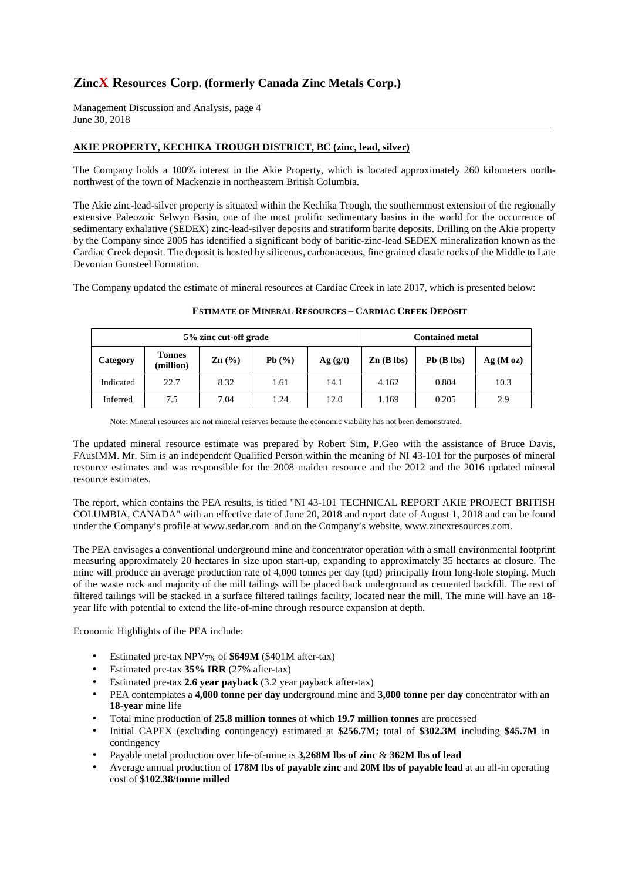Management Discussion and Analysis, page 4 June 30, 2018

## **AKIE PROPERTY, KECHIKA TROUGH DISTRICT, BC (zinc, lead, silver)**

The Company holds a 100% interest in the Akie Property, which is located approximately 260 kilometers northnorthwest of the town of Mackenzie in northeastern British Columbia.

The Akie zinc-lead-silver property is situated within the Kechika Trough, the southernmost extension of the regionally extensive Paleozoic Selwyn Basin, one of the most prolific sedimentary basins in the world for the occurrence of sedimentary exhalative (SEDEX) zinc-lead-silver deposits and stratiform barite deposits. Drilling on the Akie property by the Company since 2005 has identified a significant body of baritic-zinc-lead SEDEX mineralization known as the Cardiac Creek deposit. The deposit is hosted by siliceous, carbonaceous, fine grained clastic rocks of the Middle to Late Devonian Gunsteel Formation.

The Company updated the estimate of mineral resources at Cardiac Creek in late 2017, which is presented below:

| 5% zinc cut-off grade |                            |                   |       |         | <b>Contained metal</b> |              |         |  |
|-----------------------|----------------------------|-------------------|-------|---------|------------------------|--------------|---------|--|
| Category              | <b>Tonnes</b><br>(million) | $\mathbf{Zn}$ (%) | Pb(%) | Ag(g/t) | $\mathbf{Zn}$ (B lbs)  | $Pb$ (B lbs) | Ag(Moz) |  |
| Indicated             | 22.7                       | 8.32              | 1.61  | 14.1    | 4.162                  | 0.804        | 10.3    |  |
| Inferred              | 7.5                        | 7.04              | .24   | 12.0    | 1.169                  | 0.205        | 2.9     |  |

#### **ESTIMATE OF MINERAL RESOURCES – CARDIAC CREEK DEPOSIT**

Note: Mineral resources are not mineral reserves because the economic viability has not been demonstrated.

The updated mineral resource estimate was prepared by Robert Sim, P.Geo with the assistance of Bruce Davis, FAusIMM. Mr. Sim is an independent Qualified Person within the meaning of NI 43-101 for the purposes of mineral resource estimates and was responsible for the 2008 maiden resource and the 2012 and the 2016 updated mineral resource estimates.

The report, which contains the PEA results, is titled "NI 43-101 TECHNICAL REPORT AKIE PROJECT BRITISH COLUMBIA, CANADA" with an effective date of June 20, 2018 and report date of August 1, 2018 and can be found under the Company's profile at www.sedar.com and on the Company's website, www.zincxresources.com.

The PEA envisages a conventional underground mine and concentrator operation with a small environmental footprint measuring approximately 20 hectares in size upon start-up, expanding to approximately 35 hectares at closure. The mine will produce an average production rate of 4,000 tonnes per day (tpd) principally from long-hole stoping. Much of the waste rock and majority of the mill tailings will be placed back underground as cemented backfill. The rest of filtered tailings will be stacked in a surface filtered tailings facility, located near the mill. The mine will have an 18 year life with potential to extend the life-of-mine through resource expansion at depth.

Economic Highlights of the PEA include:

- Estimated pre-tax NPV7% of **\$649M** (\$401M after-tax)
- Estimated pre-tax **35% IRR** (27% after-tax)
- Estimated pre-tax **2.6 year payback** (3.2 year payback after-tax)
- PEA contemplates a **4,000 tonne per day** underground mine and **3,000 tonne per day** concentrator with an **18-year** mine life
- Total mine production of **25.8 million tonnes** of which **19.7 million tonnes** are processed
- Initial CAPEX (excluding contingency) estimated at **\$256.7M;** total of **\$302.3M** including **\$45.7M** in contingency
- Payable metal production over life-of-mine is **3,268M lbs of zinc** & **362M lbs of lead**
- Average annual production of **178M lbs of payable zinc** and **20M lbs of payable lead** at an all-in operating cost of **\$102.38/tonne milled**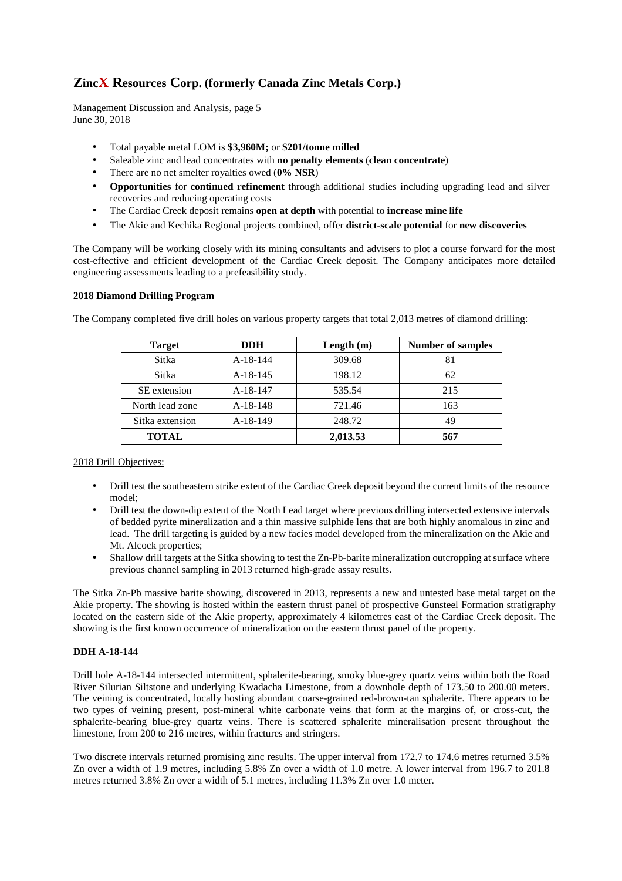Management Discussion and Analysis, page 5 June 30, 2018

- Total payable metal LOM is **\$3,960M;** or **\$201/tonne milled**
- Saleable zinc and lead concentrates with **no penalty elements** (**clean concentrate**)
- There are no net smelter royalties owed (**0% NSR**)
- **Opportunities** for **continued refinement** through additional studies including upgrading lead and silver recoveries and reducing operating costs
- The Cardiac Creek deposit remains **open at depth** with potential to **increase mine life**
- The Akie and Kechika Regional projects combined, offer **district-scale potential** for **new discoveries**

The Company will be working closely with its mining consultants and advisers to plot a course forward for the most cost-effective and efficient development of the Cardiac Creek deposit. The Company anticipates more detailed engineering assessments leading to a prefeasibility study.

#### **2018 Diamond Drilling Program**

| <b>Target</b>   | <b>DDH</b> | Length $(m)$ | <b>Number of samples</b> |
|-----------------|------------|--------------|--------------------------|
| Sitka           | $A-18-144$ | 309.68       | 81                       |
| <b>Sitka</b>    | $A-18-145$ | 198.12       | 62                       |
| SE extension    | A-18-147   | 535.54       | 215                      |
| North lead zone | $A-18-148$ | 721.46       | 163                      |
| Sitka extension | $A-18-149$ | 248.72       | 49                       |
| <b>TOTAL</b>    |            | 2,013.53     | 567                      |

The Company completed five drill holes on various property targets that total 2,013 metres of diamond drilling:

2018 Drill Objectives:

- Drill test the southeastern strike extent of the Cardiac Creek deposit beyond the current limits of the resource model;
- Drill test the down-dip extent of the North Lead target where previous drilling intersected extensive intervals of bedded pyrite mineralization and a thin massive sulphide lens that are both highly anomalous in zinc and lead. The drill targeting is guided by a new facies model developed from the mineralization on the Akie and Mt. Alcock properties;
- Shallow drill targets at the Sitka showing to test the Zn-Pb-barite mineralization outcropping at surface where previous channel sampling in 2013 returned high-grade assay results.

The Sitka Zn-Pb massive barite showing, discovered in 2013, represents a new and untested base metal target on the Akie property. The showing is hosted within the eastern thrust panel of prospective Gunsteel Formation stratigraphy located on the eastern side of the Akie property, approximately 4 kilometres east of the Cardiac Creek deposit. The showing is the first known occurrence of mineralization on the eastern thrust panel of the property.

#### **DDH A-18-144**

Drill hole A-18-144 intersected intermittent, sphalerite-bearing, smoky blue-grey quartz veins within both the Road River Silurian Siltstone and underlying Kwadacha Limestone, from a downhole depth of 173.50 to 200.00 meters. The veining is concentrated, locally hosting abundant coarse-grained red-brown-tan sphalerite. There appears to be two types of veining present, post-mineral white carbonate veins that form at the margins of, or cross-cut, the sphalerite-bearing blue-grey quartz veins. There is scattered sphalerite mineralisation present throughout the limestone, from 200 to 216 metres, within fractures and stringers.

Two discrete intervals returned promising zinc results. The upper interval from 172.7 to 174.6 metres returned 3.5% Zn over a width of 1.9 metres, including 5.8% Zn over a width of 1.0 metre. A lower interval from 196.7 to 201.8 metres returned 3.8% Zn over a width of 5.1 metres, including 11.3% Zn over 1.0 meter.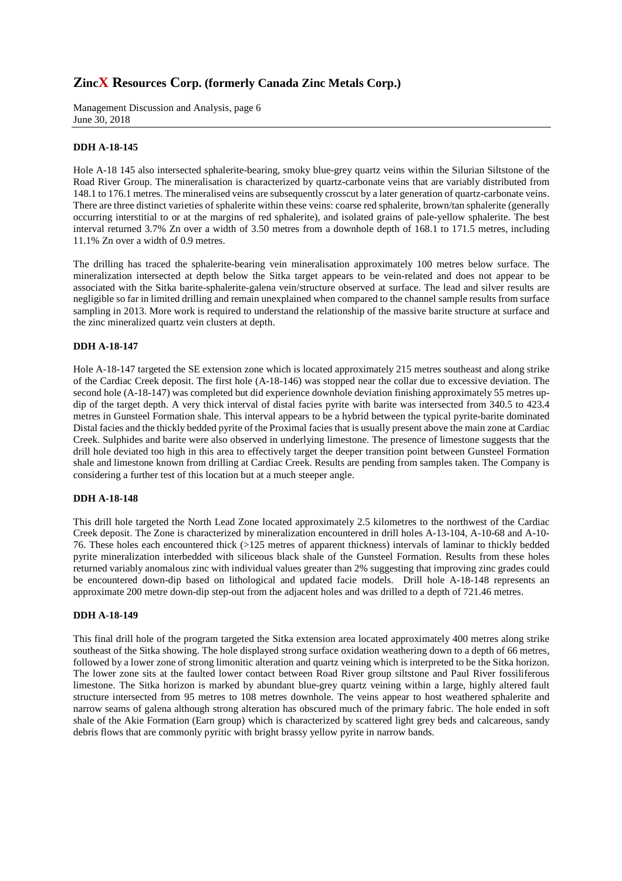Management Discussion and Analysis, page 6 June 30, 2018

### **DDH A-18-145**

Hole A-18 145 also intersected sphalerite-bearing, smoky blue-grey quartz veins within the Silurian Siltstone of the Road River Group. The mineralisation is characterized by quartz-carbonate veins that are variably distributed from 148.1 to 176.1 metres. The mineralised veins are subsequently crosscut by a later generation of quartz-carbonate veins. There are three distinct varieties of sphalerite within these veins: coarse red sphalerite, brown/tan sphalerite (generally occurring interstitial to or at the margins of red sphalerite), and isolated grains of pale-yellow sphalerite. The best interval returned 3.7% Zn over a width of 3.50 metres from a downhole depth of 168.1 to 171.5 metres, including 11.1% Zn over a width of 0.9 metres.

The drilling has traced the sphalerite-bearing vein mineralisation approximately 100 metres below surface. The mineralization intersected at depth below the Sitka target appears to be vein-related and does not appear to be associated with the Sitka barite-sphalerite-galena vein/structure observed at surface. The lead and silver results are negligible so far in limited drilling and remain unexplained when compared to the channel sample results from surface sampling in 2013. More work is required to understand the relationship of the massive barite structure at surface and the zinc mineralized quartz vein clusters at depth.

#### **DDH A-18-147**

Hole A-18-147 targeted the SE extension zone which is located approximately 215 metres southeast and along strike of the Cardiac Creek deposit. The first hole (A-18-146) was stopped near the collar due to excessive deviation. The second hole (A-18-147) was completed but did experience downhole deviation finishing approximately 55 metres updip of the target depth. A very thick interval of distal facies pyrite with barite was intersected from 340.5 to 423.4 metres in Gunsteel Formation shale. This interval appears to be a hybrid between the typical pyrite-barite dominated Distal facies and the thickly bedded pyrite of the Proximal facies that is usually present above the main zone at Cardiac Creek. Sulphides and barite were also observed in underlying limestone. The presence of limestone suggests that the drill hole deviated too high in this area to effectively target the deeper transition point between Gunsteel Formation shale and limestone known from drilling at Cardiac Creek. Results are pending from samples taken. The Company is considering a further test of this location but at a much steeper angle.

#### **DDH A-18-148**

This drill hole targeted the North Lead Zone located approximately 2.5 kilometres to the northwest of the Cardiac Creek deposit. The Zone is characterized by mineralization encountered in drill holes A-13-104, A-10-68 and A-10- 76. These holes each encountered thick (>125 metres of apparent thickness) intervals of laminar to thickly bedded pyrite mineralization interbedded with siliceous black shale of the Gunsteel Formation. Results from these holes returned variably anomalous zinc with individual values greater than 2% suggesting that improving zinc grades could be encountered down-dip based on lithological and updated facie models. Drill hole A-18-148 represents an approximate 200 metre down-dip step-out from the adjacent holes and was drilled to a depth of 721.46 metres.

#### **DDH A-18-149**

This final drill hole of the program targeted the Sitka extension area located approximately 400 metres along strike southeast of the Sitka showing. The hole displayed strong surface oxidation weathering down to a depth of 66 metres, followed by a lower zone of strong limonitic alteration and quartz veining which is interpreted to be the Sitka horizon. The lower zone sits at the faulted lower contact between Road River group siltstone and Paul River fossiliferous limestone. The Sitka horizon is marked by abundant blue-grey quartz veining within a large, highly altered fault structure intersected from 95 metres to 108 metres downhole. The veins appear to host weathered sphalerite and narrow seams of galena although strong alteration has obscured much of the primary fabric. The hole ended in soft shale of the Akie Formation (Earn group) which is characterized by scattered light grey beds and calcareous, sandy debris flows that are commonly pyritic with bright brassy yellow pyrite in narrow bands.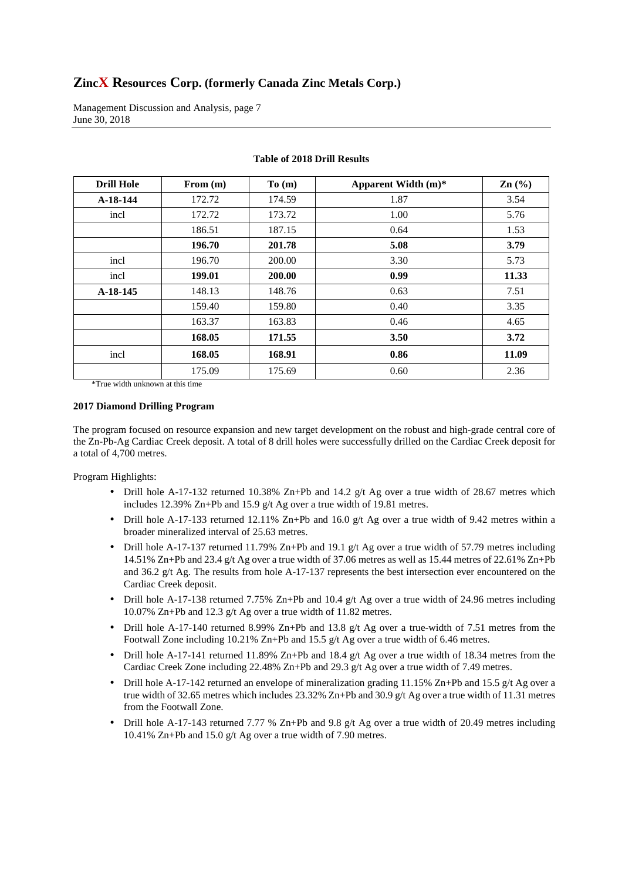Management Discussion and Analysis, page 7 June 30, 2018

| <b>Drill Hole</b> | From $(m)$ | To(m)  | Apparent Width (m)* | $\text{Zn}$ (%) |
|-------------------|------------|--------|---------------------|-----------------|
| $A-18-144$        | 172.72     | 174.59 | 1.87                | 3.54            |
| incl              | 172.72     | 173.72 | 1.00                | 5.76            |
|                   | 186.51     | 187.15 | 0.64                | 1.53            |
|                   | 196.70     | 201.78 | 5.08                | 3.79            |
| incl              | 196.70     | 200.00 | 3.30                | 5.73            |
| incl              | 199.01     | 200.00 | 0.99                | 11.33           |
| $A-18-145$        | 148.13     | 148.76 | 0.63                | 7.51            |
|                   | 159.40     | 159.80 | 0.40                | 3.35            |
|                   | 163.37     | 163.83 | 0.46                | 4.65            |
|                   | 168.05     | 171.55 | 3.50                | 3.72            |
| incl              | 168.05     | 168.91 | 0.86                | 11.09           |
|                   | 175.09     | 175.69 | 0.60                | 2.36            |

## **Table of 2018 Drill Results**

\*True width unknown at this time

## **2017 Diamond Drilling Program**

The program focused on resource expansion and new target development on the robust and high-grade central core of the Zn-Pb-Ag Cardiac Creek deposit. A total of 8 drill holes were successfully drilled on the Cardiac Creek deposit for a total of 4,700 metres.

Program Highlights:

- Drill hole A-17-132 returned 10.38% Zn+Pb and 14.2 g/t Ag over a true width of 28.67 metres which includes 12.39% Zn+Pb and 15.9 g/t Ag over a true width of 19.81 metres.
- Drill hole A-17-133 returned 12.11% Zn+Pb and 16.0  $g/t$  Ag over a true width of 9.42 metres within a broader mineralized interval of 25.63 metres.
- Drill hole A-17-137 returned 11.79% Zn+Pb and 19.1 g/t Ag over a true width of 57.79 metres including 14.51% Zn+Pb and 23.4 g/t Ag over a true width of 37.06 metres as well as 15.44 metres of 22.61% Zn+Pb and 36.2 g/t Ag. The results from hole A-17-137 represents the best intersection ever encountered on the Cardiac Creek deposit.
- Drill hole A-17-138 returned 7.75% Zn+Pb and 10.4 g/t Ag over a true width of 24.96 metres including 10.07% Zn+Pb and 12.3 g/t Ag over a true width of 11.82 metres.
- Drill hole A-17-140 returned 8.99% Zn+Pb and 13.8 g/t Ag over a true-width of 7.51 metres from the Footwall Zone including 10.21% Zn+Pb and 15.5 g/t Ag over a true width of 6.46 metres.
- Drill hole A-17-141 returned 11.89% Zn+Pb and 18.4 g/t Ag over a true width of 18.34 metres from the Cardiac Creek Zone including 22.48% Zn+Pb and 29.3 g/t Ag over a true width of 7.49 metres.
- Drill hole A-17-142 returned an envelope of mineralization grading 11.15% Zn+Pb and 15.5 g/t Ag over a true width of 32.65 metres which includes 23.32% Zn+Pb and 30.9 g/t Ag over a true width of 11.31 metres from the Footwall Zone.
- Drill hole A-17-143 returned 7.77 % Zn+Pb and 9.8 g/t Ag over a true width of 20.49 metres including 10.41% Zn+Pb and 15.0 g/t Ag over a true width of 7.90 metres.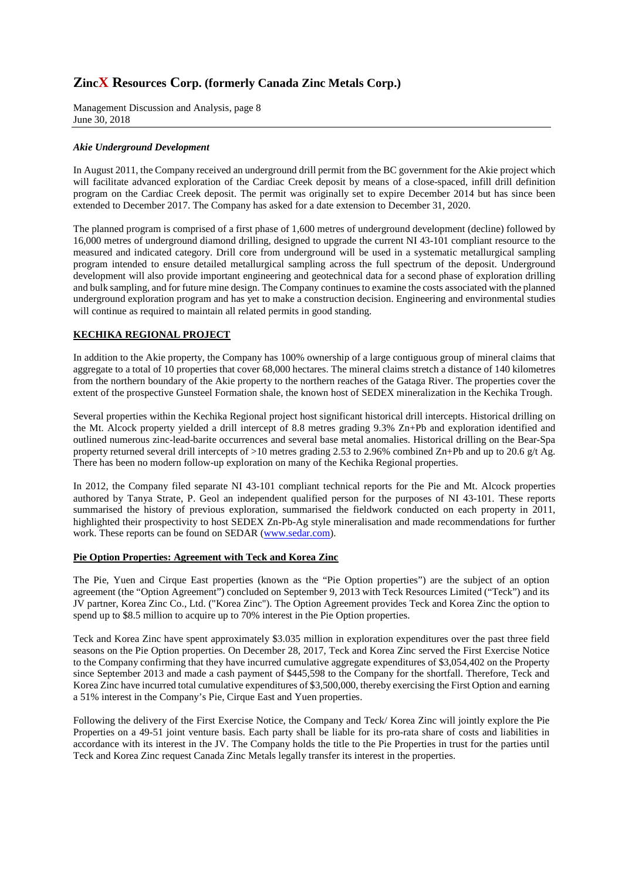Management Discussion and Analysis, page 8 June 30, 2018

#### *Akie Underground Development*

In August 2011, the Company received an underground drill permit from the BC government for the Akie project which will facilitate advanced exploration of the Cardiac Creek deposit by means of a close-spaced, infill drill definition program on the Cardiac Creek deposit. The permit was originally set to expire December 2014 but has since been extended to December 2017. The Company has asked for a date extension to December 31, 2020.

The planned program is comprised of a first phase of 1,600 metres of underground development (decline) followed by 16,000 metres of underground diamond drilling, designed to upgrade the current NI 43-101 compliant resource to the measured and indicated category. Drill core from underground will be used in a systematic metallurgical sampling program intended to ensure detailed metallurgical sampling across the full spectrum of the deposit. Underground development will also provide important engineering and geotechnical data for a second phase of exploration drilling and bulk sampling, and for future mine design. The Company continues to examine the costs associated with the planned underground exploration program and has yet to make a construction decision. Engineering and environmental studies will continue as required to maintain all related permits in good standing.

## **KECHIKA REGIONAL PROJECT**

In addition to the Akie property, the Company has 100% ownership of a large contiguous group of mineral claims that aggregate to a total of 10 properties that cover 68,000 hectares. The mineral claims stretch a distance of 140 kilometres from the northern boundary of the Akie property to the northern reaches of the Gataga River. The properties cover the extent of the prospective Gunsteel Formation shale, the known host of SEDEX mineralization in the Kechika Trough.

Several properties within the Kechika Regional project host significant historical drill intercepts. Historical drilling on the Mt. Alcock property yielded a drill intercept of 8.8 metres grading 9.3% Zn+Pb and exploration identified and outlined numerous zinc-lead-barite occurrences and several base metal anomalies. Historical drilling on the Bear-Spa property returned several drill intercepts of >10 metres grading 2.53 to 2.96% combined Zn+Pb and up to 20.6 g/t Ag. There has been no modern follow-up exploration on many of the Kechika Regional properties.

In 2012, the Company filed separate NI 43-101 compliant technical reports for the Pie and Mt. Alcock properties authored by Tanya Strate, P. Geol an independent qualified person for the purposes of NI 43-101. These reports summarised the history of previous exploration, summarised the fieldwork conducted on each property in 2011, highlighted their prospectivity to host SEDEX Zn-Pb-Ag style mineralisation and made recommendations for further work. These reports can be found on SEDAR (www.sedar.com).

#### **Pie Option Properties: Agreement with Teck and Korea Zinc**

The Pie, Yuen and Cirque East properties (known as the "Pie Option properties") are the subject of an option agreement (the "Option Agreement") concluded on September 9, 2013 with Teck Resources Limited ("Teck") and its JV partner, Korea Zinc Co., Ltd. ("Korea Zinc"). The Option Agreement provides Teck and Korea Zinc the option to spend up to \$8.5 million to acquire up to 70% interest in the Pie Option properties.

Teck and Korea Zinc have spent approximately \$3.035 million in exploration expenditures over the past three field seasons on the Pie Option properties. On December 28, 2017, Teck and Korea Zinc served the First Exercise Notice to the Company confirming that they have incurred cumulative aggregate expenditures of \$3,054,402 on the Property since September 2013 and made a cash payment of \$445,598 to the Company for the shortfall. Therefore, Teck and Korea Zinc have incurred total cumulative expenditures of \$3,500,000, thereby exercising the First Option and earning a 51% interest in the Company's Pie, Cirque East and Yuen properties.

Following the delivery of the First Exercise Notice, the Company and Teck/ Korea Zinc will jointly explore the Pie Properties on a 49-51 joint venture basis. Each party shall be liable for its pro-rata share of costs and liabilities in accordance with its interest in the JV. The Company holds the title to the Pie Properties in trust for the parties until Teck and Korea Zinc request Canada Zinc Metals legally transfer its interest in the properties.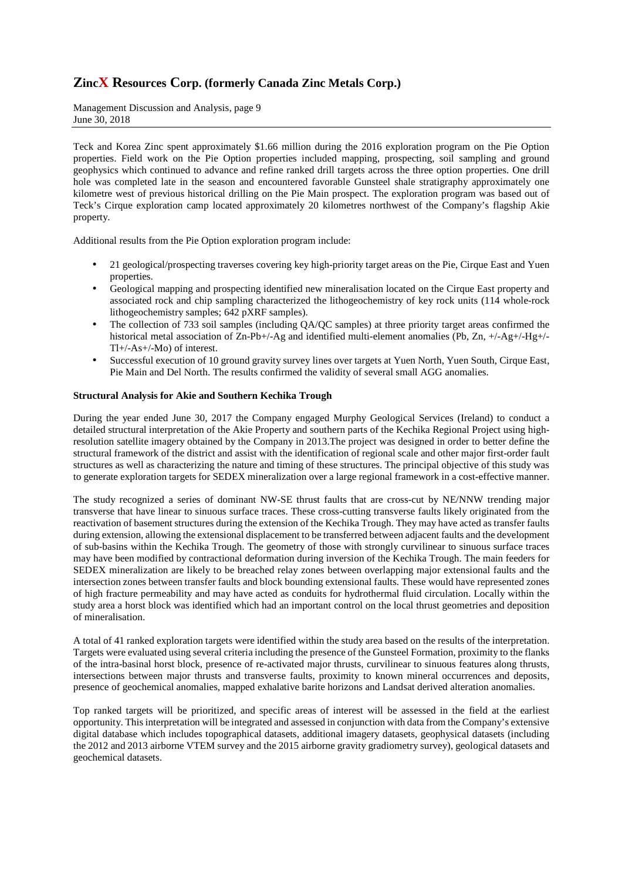Management Discussion and Analysis, page 9 June 30, 2018

Teck and Korea Zinc spent approximately \$1.66 million during the 2016 exploration program on the Pie Option properties. Field work on the Pie Option properties included mapping, prospecting, soil sampling and ground geophysics which continued to advance and refine ranked drill targets across the three option properties. One drill hole was completed late in the season and encountered favorable Gunsteel shale stratigraphy approximately one kilometre west of previous historical drilling on the Pie Main prospect. The exploration program was based out of Teck's Cirque exploration camp located approximately 20 kilometres northwest of the Company's flagship Akie property.

Additional results from the Pie Option exploration program include:

- 21 geological/prospecting traverses covering key high-priority target areas on the Pie, Cirque East and Yuen properties.
- Geological mapping and prospecting identified new mineralisation located on the Cirque East property and associated rock and chip sampling characterized the lithogeochemistry of key rock units (114 whole-rock lithogeochemistry samples; 642 pXRF samples).
- The collection of 733 soil samples (including QA/QC samples) at three priority target areas confirmed the historical metal association of Zn-Pb+/-Ag and identified multi-element anomalies (Pb, Zn, +/-Ag+/-Hg+/-Tl+/-As+/-Mo) of interest.
- Successful execution of 10 ground gravity survey lines over targets at Yuen North, Yuen South, Cirque East, Pie Main and Del North. The results confirmed the validity of several small AGG anomalies.

## **Structural Analysis for Akie and Southern Kechika Trough**

During the year ended June 30, 2017 the Company engaged Murphy Geological Services (Ireland) to conduct a detailed structural interpretation of the Akie Property and southern parts of the Kechika Regional Project using highresolution satellite imagery obtained by the Company in 2013.The project was designed in order to better define the structural framework of the district and assist with the identification of regional scale and other major first-order fault structures as well as characterizing the nature and timing of these structures. The principal objective of this study was to generate exploration targets for SEDEX mineralization over a large regional framework in a cost-effective manner.

The study recognized a series of dominant NW-SE thrust faults that are cross-cut by NE/NNW trending major transverse that have linear to sinuous surface traces. These cross-cutting transverse faults likely originated from the reactivation of basement structures during the extension of the Kechika Trough. They may have acted as transfer faults during extension, allowing the extensional displacement to be transferred between adjacent faults and the development of sub-basins within the Kechika Trough. The geometry of those with strongly curvilinear to sinuous surface traces may have been modified by contractional deformation during inversion of the Kechika Trough. The main feeders for SEDEX mineralization are likely to be breached relay zones between overlapping major extensional faults and the intersection zones between transfer faults and block bounding extensional faults. These would have represented zones of high fracture permeability and may have acted as conduits for hydrothermal fluid circulation. Locally within the study area a horst block was identified which had an important control on the local thrust geometries and deposition of mineralisation.

A total of 41 ranked exploration targets were identified within the study area based on the results of the interpretation. Targets were evaluated using several criteria including the presence of the Gunsteel Formation, proximity to the flanks of the intra-basinal horst block, presence of re-activated major thrusts, curvilinear to sinuous features along thrusts, intersections between major thrusts and transverse faults, proximity to known mineral occurrences and deposits, presence of geochemical anomalies, mapped exhalative barite horizons and Landsat derived alteration anomalies.

Top ranked targets will be prioritized, and specific areas of interest will be assessed in the field at the earliest opportunity. This interpretation will be integrated and assessed in conjunction with data from the Company's extensive digital database which includes topographical datasets, additional imagery datasets, geophysical datasets (including the 2012 and 2013 airborne VTEM survey and the 2015 airborne gravity gradiometry survey), geological datasets and geochemical datasets.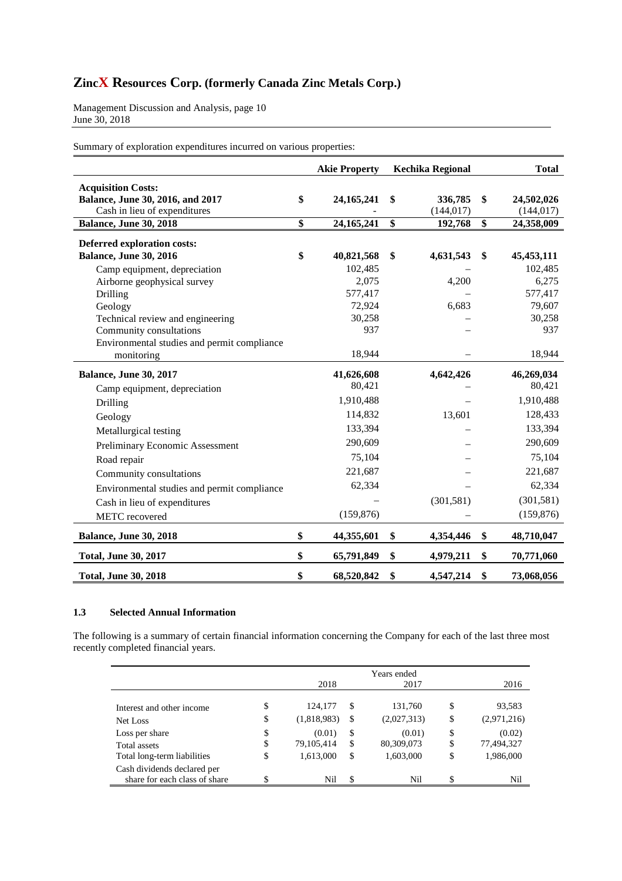Management Discussion and Analysis, page 10 June 30, 2018

Summary of exploration expenditures incurred on various properties:

|                                                                                               | <b>Akie Property</b> |                 | <b>Kechika Regional</b> | <b>Total</b>                   |
|-----------------------------------------------------------------------------------------------|----------------------|-----------------|-------------------------|--------------------------------|
| <b>Acquisition Costs:</b><br>Balance, June 30, 2016, and 2017<br>Cash in lieu of expenditures | \$<br>24, 165, 241   | \$              | 336,785<br>(144, 017)   | \$<br>24,502,026<br>(144, 017) |
| Balance, June 30, 2018                                                                        | \$<br>24, 165, 241   | $\overline{\$}$ | 192,768                 | \$<br>24,358,009               |
| Deferred exploration costs:<br><b>Balance, June 30, 2016</b>                                  | \$<br>40,821,568     | \$              | 4,631,543               | \$<br>45, 453, 111             |
| Camp equipment, depreciation                                                                  | 102,485              |                 |                         | 102,485                        |
| Airborne geophysical survey                                                                   | 2,075                |                 | 4,200                   | 6,275                          |
| Drilling                                                                                      | 577,417              |                 |                         | 577,417                        |
| Geology                                                                                       | 72,924               |                 | 6,683                   | 79,607                         |
| Technical review and engineering                                                              | 30,258               |                 |                         | 30,258                         |
| Community consultations                                                                       | 937                  |                 |                         | 937                            |
| Environmental studies and permit compliance                                                   |                      |                 |                         |                                |
| monitoring                                                                                    | 18,944               |                 |                         | 18,944                         |
| <b>Balance, June 30, 2017</b>                                                                 | 41,626,608           |                 | 4,642,426               | 46,269,034                     |
| Camp equipment, depreciation                                                                  | 80,421               |                 |                         | 80,421                         |
| Drilling                                                                                      | 1,910,488            |                 |                         | 1,910,488                      |
| Geology                                                                                       | 114,832              |                 | 13,601                  | 128,433                        |
| Metallurgical testing                                                                         | 133,394              |                 |                         | 133,394                        |
| Preliminary Economic Assessment                                                               | 290,609              |                 |                         | 290,609                        |
| Road repair                                                                                   | 75,104               |                 |                         | 75,104                         |
| Community consultations                                                                       | 221,687              |                 |                         | 221,687                        |
| Environmental studies and permit compliance                                                   | 62,334               |                 |                         | 62,334                         |
| Cash in lieu of expenditures                                                                  |                      |                 | (301, 581)              | (301, 581)                     |
| METC recovered                                                                                | (159, 876)           |                 |                         | (159, 876)                     |
| <b>Balance, June 30, 2018</b>                                                                 | \$<br>44,355,601     | \$              | 4,354,446               | \$<br>48,710,047               |
| <b>Total, June 30, 2017</b>                                                                   | \$<br>65,791,849     | \$              | 4,979,211               | \$<br>70,771,060               |
| <b>Total, June 30, 2018</b>                                                                   | \$<br>68,520,842     | \$              | 4,547,214               | \$<br>73,068,056               |

## **1.3 Selected Annual Information**

The following is a summary of certain financial information concerning the Company for each of the last three most recently completed financial years.

|                               |                    | Years ended       |                   |
|-------------------------------|--------------------|-------------------|-------------------|
|                               | 2018               | 2017              | 2016              |
| Interest and other income     | \$<br>124,177      | \$<br>131,760     | \$<br>93,583      |
|                               |                    |                   |                   |
| Net Loss                      | \$<br>(1,818,983)  | \$<br>(2,027,313) | \$<br>(2,971,216) |
| Loss per share                | \$<br>(0.01)       | \$<br>(0.01)      | \$<br>(0.02)      |
| Total assets                  | \$<br>79, 105, 414 | \$<br>80,309,073  | \$<br>77,494,327  |
| Total long-term liabilities   | \$<br>1,613,000    | \$<br>1,603,000   | \$<br>1,986,000   |
| Cash dividends declared per   |                    |                   |                   |
| share for each class of share | \$<br>Nil          | \$<br>Nil         | \$<br>Nil         |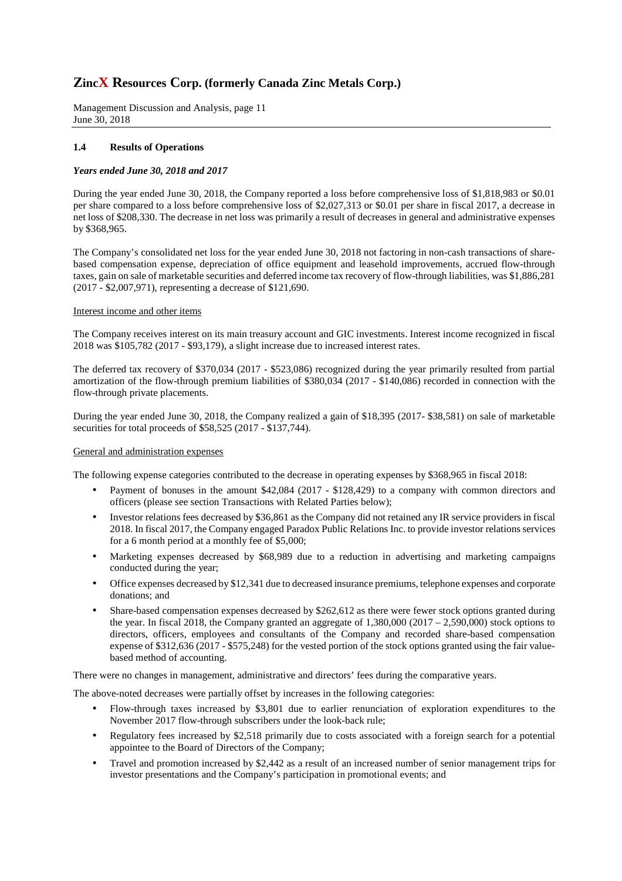Management Discussion and Analysis, page 11 June 30, 2018

## **1.4 Results of Operations**

#### *Years ended June 30, 2018 and 2017*

During the year ended June 30, 2018, the Company reported a loss before comprehensive loss of \$1,818,983 or \$0.01 per share compared to a loss before comprehensive loss of \$2,027,313 or \$0.01 per share in fiscal 2017, a decrease in net loss of \$208,330. The decrease in net loss was primarily a result of decreases in general and administrative expenses by \$368,965.

The Company's consolidated net loss for the year ended June 30, 2018 not factoring in non-cash transactions of sharebased compensation expense, depreciation of office equipment and leasehold improvements, accrued flow-through taxes, gain on sale of marketable securities and deferred income tax recovery of flow-through liabilities, was \$1,886,281 (2017 - \$2,007,971), representing a decrease of \$121,690.

#### Interest income and other items

The Company receives interest on its main treasury account and GIC investments. Interest income recognized in fiscal 2018 was \$105,782 (2017 - \$93,179), a slight increase due to increased interest rates.

The deferred tax recovery of \$370,034 (2017 - \$523,086) recognized during the year primarily resulted from partial amortization of the flow-through premium liabilities of \$380,034 (2017 - \$140,086) recorded in connection with the flow-through private placements.

During the year ended June 30, 2018, the Company realized a gain of \$18,395 (2017- \$38,581) on sale of marketable securities for total proceeds of \$58,525 (2017 - \$137,744).

#### General and administration expenses

The following expense categories contributed to the decrease in operating expenses by \$368,965 in fiscal 2018:

- Payment of bonuses in the amount \$42,084 (2017 \$128,429) to a company with common directors and officers (please see section Transactions with Related Parties below);
- Investor relations fees decreased by \$36,861 as the Company did not retained any IR service providers in fiscal 2018. In fiscal 2017, the Company engaged Paradox Public Relations Inc. to provide investor relations services for a 6 month period at a monthly fee of \$5,000;
- Marketing expenses decreased by \$68,989 due to a reduction in advertising and marketing campaigns conducted during the year;
- Office expenses decreased by \$12,341 due to decreased insurance premiums, telephone expenses and corporate donations; and
- Share-based compensation expenses decreased by \$262,612 as there were fewer stock options granted during the year. In fiscal 2018, the Company granted an aggregate of  $1,380,000$  (2017 – 2,590,000) stock options to directors, officers, employees and consultants of the Company and recorded share-based compensation expense of \$312,636 (2017 - \$575,248) for the vested portion of the stock options granted using the fair valuebased method of accounting.

There were no changes in management, administrative and directors' fees during the comparative years.

The above-noted decreases were partially offset by increases in the following categories:

- Flow-through taxes increased by \$3,801 due to earlier renunciation of exploration expenditures to the November 2017 flow-through subscribers under the look-back rule;
- Regulatory fees increased by \$2,518 primarily due to costs associated with a foreign search for a potential appointee to the Board of Directors of the Company;
- Travel and promotion increased by \$2,442 as a result of an increased number of senior management trips for investor presentations and the Company's participation in promotional events; and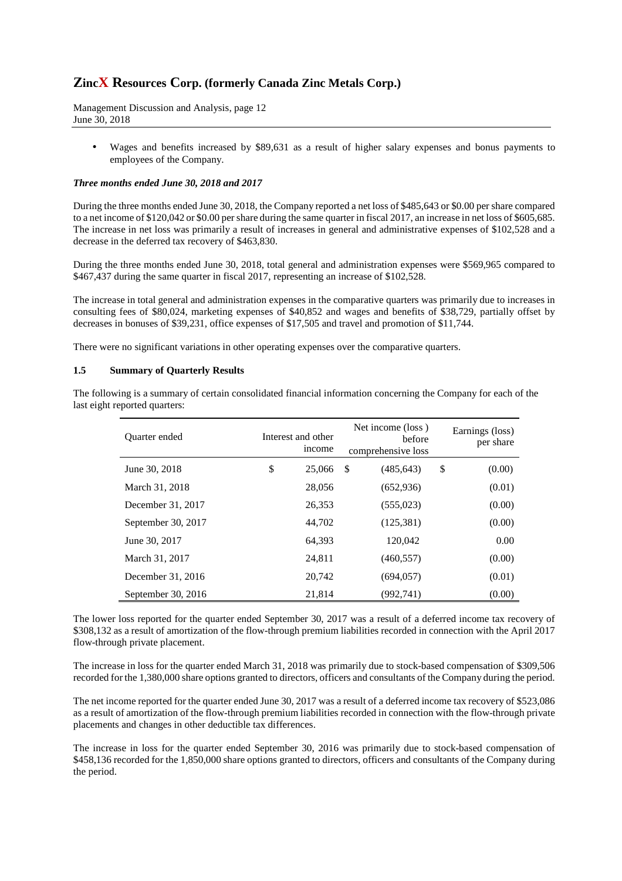Management Discussion and Analysis, page 12 June 30, 2018

• Wages and benefits increased by \$89,631 as a result of higher salary expenses and bonus payments to employees of the Company.

#### *Three months ended June 30, 2018 and 2017*

During the three months ended June 30, 2018, the Company reported a net loss of \$485,643 or \$0.00 per share compared to a net income of \$120,042 or \$0.00 per share during the same quarter in fiscal 2017, an increase in net loss of \$605,685. The increase in net loss was primarily a result of increases in general and administrative expenses of \$102,528 and a decrease in the deferred tax recovery of \$463,830.

During the three months ended June 30, 2018, total general and administration expenses were \$569,965 compared to \$467,437 during the same quarter in fiscal 2017, representing an increase of \$102,528.

The increase in total general and administration expenses in the comparative quarters was primarily due to increases in consulting fees of \$80,024, marketing expenses of \$40,852 and wages and benefits of \$38,729, partially offset by decreases in bonuses of \$39,231, office expenses of \$17,505 and travel and promotion of \$11,744.

There were no significant variations in other operating expenses over the comparative quarters.

#### **1.5 Summary of Quarterly Results**

The following is a summary of certain consolidated financial information concerning the Company for each of the last eight reported quarters:

| Quarter ended      | Interest and other<br>income |        | Net income (loss)<br>before<br>comprehensive loss |            |    | Earnings (loss)<br>per share |
|--------------------|------------------------------|--------|---------------------------------------------------|------------|----|------------------------------|
| June 30, 2018      | \$                           | 25,066 | S.                                                | (485, 643) | \$ | (0.00)                       |
| March 31, 2018     |                              | 28,056 |                                                   | (652, 936) |    | (0.01)                       |
| December 31, 2017  |                              | 26,353 |                                                   | (555, 023) |    | (0.00)                       |
| September 30, 2017 |                              | 44,702 |                                                   | (125, 381) |    | (0.00)                       |
| June 30, 2017      |                              | 64.393 |                                                   | 120,042    |    | 0.00                         |
| March 31, 2017     |                              | 24,811 |                                                   | (460, 557) |    | (0.00)                       |
| December 31, 2016  |                              | 20.742 |                                                   | (694, 057) |    | (0.01)                       |
| September 30, 2016 |                              | 21,814 |                                                   | (992, 741) |    | (0.00)                       |

The lower loss reported for the quarter ended September 30, 2017 was a result of a deferred income tax recovery of \$308,132 as a result of amortization of the flow-through premium liabilities recorded in connection with the April 2017 flow-through private placement.

The increase in loss for the quarter ended March 31, 2018 was primarily due to stock-based compensation of \$309,506 recorded for the 1,380,000 share options granted to directors, officers and consultants of the Company during the period.

The net income reported for the quarter ended June 30, 2017 was a result of a deferred income tax recovery of \$523,086 as a result of amortization of the flow-through premium liabilities recorded in connection with the flow-through private placements and changes in other deductible tax differences.

The increase in loss for the quarter ended September 30, 2016 was primarily due to stock-based compensation of \$458,136 recorded for the 1,850,000 share options granted to directors, officers and consultants of the Company during the period.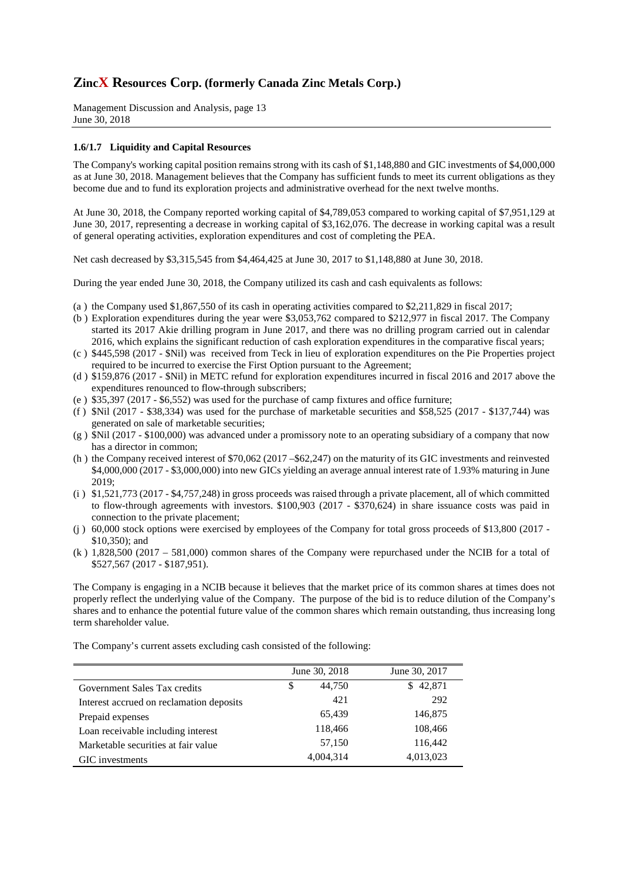Management Discussion and Analysis, page 13 June 30, 2018

#### **1.6/1.7 Liquidity and Capital Resources**

The Company's working capital position remains strong with its cash of \$1,148,880 and GIC investments of \$4,000,000 as at June 30, 2018. Management believes that the Company has sufficient funds to meet its current obligations as they become due and to fund its exploration projects and administrative overhead for the next twelve months.

At June 30, 2018, the Company reported working capital of \$4,789,053 compared to working capital of \$7,951,129 at June 30, 2017, representing a decrease in working capital of \$3,162,076. The decrease in working capital was a result of general operating activities, exploration expenditures and cost of completing the PEA.

Net cash decreased by \$3,315,545 from \$4,464,425 at June 30, 2017 to \$1,148,880 at June 30, 2018.

During the year ended June 30, 2018, the Company utilized its cash and cash equivalents as follows:

- (a ) the Company used \$1,867,550 of its cash in operating activities compared to \$2,211,829 in fiscal 2017;
- (b ) Exploration expenditures during the year were \$3,053,762 compared to \$212,977 in fiscal 2017. The Company started its 2017 Akie drilling program in June 2017, and there was no drilling program carried out in calendar 2016, which explains the significant reduction of cash exploration expenditures in the comparative fiscal years;
- (c ) \$445,598 (2017 \$Nil) was received from Teck in lieu of exploration expenditures on the Pie Properties project required to be incurred to exercise the First Option pursuant to the Agreement;
- (d ) \$159,876 (2017 \$Nil) in METC refund for exploration expenditures incurred in fiscal 2016 and 2017 above the expenditures renounced to flow-through subscribers;
- (e ) \$35,397 (2017 \$6,552) was used for the purchase of camp fixtures and office furniture;
- (f)  $\pi$  137,744) was used for the purchase of marketable securities and \$58,525 (2017 \$137,744) was generated on sale of marketable securities;
- (g ) \$Nil (2017 \$100,000) was advanced under a promissory note to an operating subsidiary of a company that now has a director in common;
- (h ) the Company received interest of \$70,062 (2017 –\$62,247) on the maturity of its GIC investments and reinvested \$4,000,000 (2017 - \$3,000,000) into new GICs yielding an average annual interest rate of 1.93% maturing in June 2019;
- (i ) \$1,521,773 (2017 \$4,757,248) in gross proceeds was raised through a private placement, all of which committed to flow-through agreements with investors. \$100,903 (2017 - \$370,624) in share issuance costs was paid in connection to the private placement;
- (j ) 60,000 stock options were exercised by employees of the Company for total gross proceeds of \$13,800 (2017 \$10,350); and
- (k ) 1,828,500 (2017 581,000) common shares of the Company were repurchased under the NCIB for a total of \$527,567 (2017 - \$187,951).

The Company is engaging in a NCIB because it believes that the market price of its common shares at times does not properly reflect the underlying value of the Company. The purpose of the bid is to reduce dilution of the Company's shares and to enhance the potential future value of the common shares which remain outstanding, thus increasing long term shareholder value.

June 30, 2018 June 30, 2017 Government Sales Tax credits  $$ 44,750$   $$ 42,871$ Interest accrued on reclamation deposits 421 292 Prepaid expenses 65,439 146,875 Loan receivable including interest 118,466 108,466 Marketable securities at fair value 57,150 116,442 GIC investments 4,004,314 4,013,023

The Company's current assets excluding cash consisted of the following: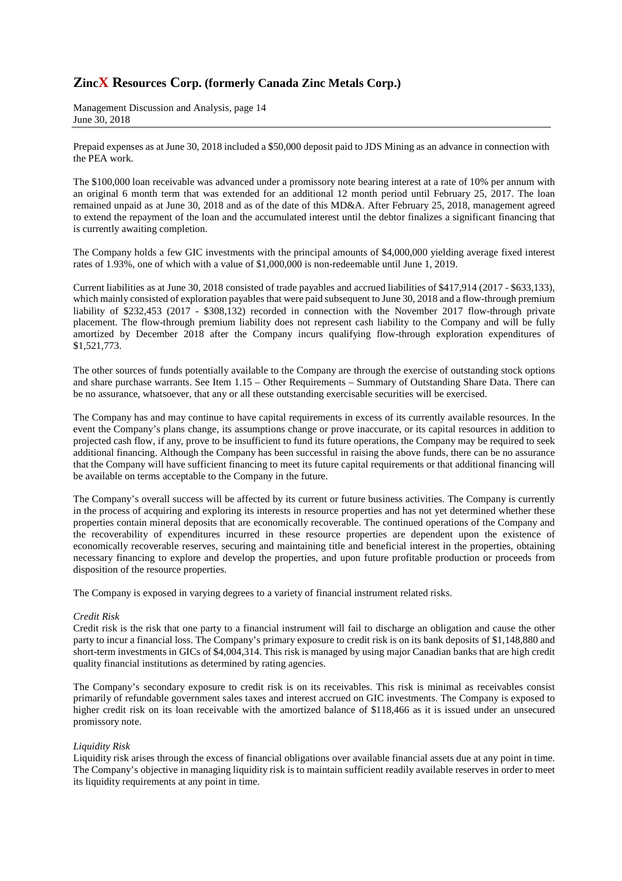Management Discussion and Analysis, page 14 June 30, 2018

Prepaid expenses as at June 30, 2018 included a \$50,000 deposit paid to JDS Mining as an advance in connection with the PEA work.

The \$100,000 loan receivable was advanced under a promissory note bearing interest at a rate of 10% per annum with an original 6 month term that was extended for an additional 12 month period until February 25, 2017. The loan remained unpaid as at June 30, 2018 and as of the date of this MD&A. After February 25, 2018, management agreed to extend the repayment of the loan and the accumulated interest until the debtor finalizes a significant financing that is currently awaiting completion.

The Company holds a few GIC investments with the principal amounts of \$4,000,000 yielding average fixed interest rates of 1.93%, one of which with a value of \$1,000,000 is non-redeemable until June 1, 2019.

Current liabilities as at June 30, 2018 consisted of trade payables and accrued liabilities of \$417,914 (2017 - \$633,133), which mainly consisted of exploration payables that were paid subsequent to June 30, 2018 and a flow-through premium liability of \$232,453 (2017 - \$308,132) recorded in connection with the November 2017 flow-through private placement. The flow-through premium liability does not represent cash liability to the Company and will be fully amortized by December 2018 after the Company incurs qualifying flow-through exploration expenditures of \$1,521,773.

The other sources of funds potentially available to the Company are through the exercise of outstanding stock options and share purchase warrants. See Item 1.15 – Other Requirements – Summary of Outstanding Share Data. There can be no assurance, whatsoever, that any or all these outstanding exercisable securities will be exercised.

The Company has and may continue to have capital requirements in excess of its currently available resources. In the event the Company's plans change, its assumptions change or prove inaccurate, or its capital resources in addition to projected cash flow, if any, prove to be insufficient to fund its future operations, the Company may be required to seek additional financing. Although the Company has been successful in raising the above funds, there can be no assurance that the Company will have sufficient financing to meet its future capital requirements or that additional financing will be available on terms acceptable to the Company in the future.

The Company's overall success will be affected by its current or future business activities. The Company is currently in the process of acquiring and exploring its interests in resource properties and has not yet determined whether these properties contain mineral deposits that are economically recoverable. The continued operations of the Company and the recoverability of expenditures incurred in these resource properties are dependent upon the existence of economically recoverable reserves, securing and maintaining title and beneficial interest in the properties, obtaining necessary financing to explore and develop the properties, and upon future profitable production or proceeds from disposition of the resource properties.

The Company is exposed in varying degrees to a variety of financial instrument related risks.

#### *Credit Risk*

Credit risk is the risk that one party to a financial instrument will fail to discharge an obligation and cause the other party to incur a financial loss. The Company's primary exposure to credit risk is on its bank deposits of \$1,148,880 and short-term investments in GICs of \$4,004,314. This risk is managed by using major Canadian banks that are high credit quality financial institutions as determined by rating agencies.

The Company's secondary exposure to credit risk is on its receivables. This risk is minimal as receivables consist primarily of refundable government sales taxes and interest accrued on GIC investments. The Company is exposed to higher credit risk on its loan receivable with the amortized balance of \$118,466 as it is issued under an unsecured promissory note.

#### *Liquidity Risk*

Liquidity risk arises through the excess of financial obligations over available financial assets due at any point in time. The Company's objective in managing liquidity risk is to maintain sufficient readily available reserves in order to meet its liquidity requirements at any point in time.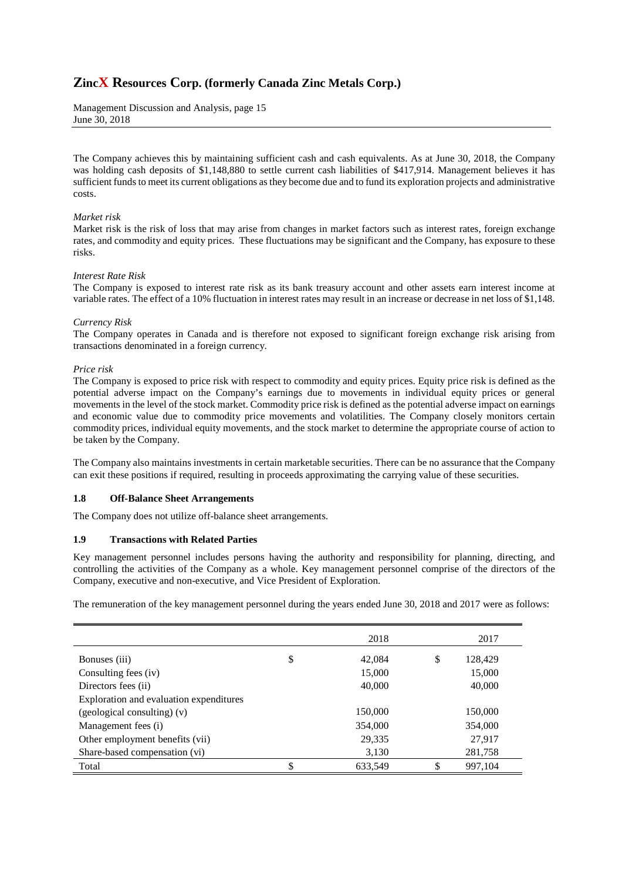Management Discussion and Analysis, page 15 June 30, 2018

The Company achieves this by maintaining sufficient cash and cash equivalents. As at June 30, 2018, the Company was holding cash deposits of \$1,148,880 to settle current cash liabilities of \$417,914. Management believes it has sufficient funds to meet its current obligations as they become due and to fund its exploration projects and administrative costs.

### *Market risk*

Market risk is the risk of loss that may arise from changes in market factors such as interest rates, foreign exchange rates, and commodity and equity prices. These fluctuations may be significant and the Company, has exposure to these risks.

#### *Interest Rate Risk*

The Company is exposed to interest rate risk as its bank treasury account and other assets earn interest income at variable rates. The effect of a 10% fluctuation in interest rates may result in an increase or decrease in net loss of \$1,148.

#### *Currency Risk*

The Company operates in Canada and is therefore not exposed to significant foreign exchange risk arising from transactions denominated in a foreign currency.

#### *Price risk*

The Company is exposed to price risk with respect to commodity and equity prices. Equity price risk is defined as the potential adverse impact on the Company's earnings due to movements in individual equity prices or general movements in the level of the stock market. Commodity price risk is defined as the potential adverse impact on earnings and economic value due to commodity price movements and volatilities. The Company closely monitors certain commodity prices, individual equity movements, and the stock market to determine the appropriate course of action to be taken by the Company.

The Company also maintains investments in certain marketable securities. There can be no assurance that the Company can exit these positions if required, resulting in proceeds approximating the carrying value of these securities.

## **1.8 Off-Balance Sheet Arrangements**

The Company does not utilize off-balance sheet arrangements.

## **1.9 Transactions with Related Parties**

Key management personnel includes persons having the authority and responsibility for planning, directing, and controlling the activities of the Company as a whole. Key management personnel comprise of the directors of the Company, executive and non-executive, and Vice President of Exploration.

The remuneration of the key management personnel during the years ended June 30, 2018 and 2017 were as follows:

|                                         | 2018          | 2017          |
|-----------------------------------------|---------------|---------------|
| Bonuses (iii)                           | \$<br>42,084  | \$<br>128,429 |
| Consulting fees (iv)                    | 15,000        | 15,000        |
| Directors fees (ii)                     | 40,000        | 40,000        |
| Exploration and evaluation expenditures |               |               |
| $(geological$ consulting) $(v)$         | 150,000       | 150,000       |
| Management fees (i)                     | 354,000       | 354,000       |
| Other employment benefits (vii)         | 29,335        | 27,917        |
| Share-based compensation (vi)           | 3,130         | 281,758       |
| Total                                   | \$<br>633,549 | \$<br>997,104 |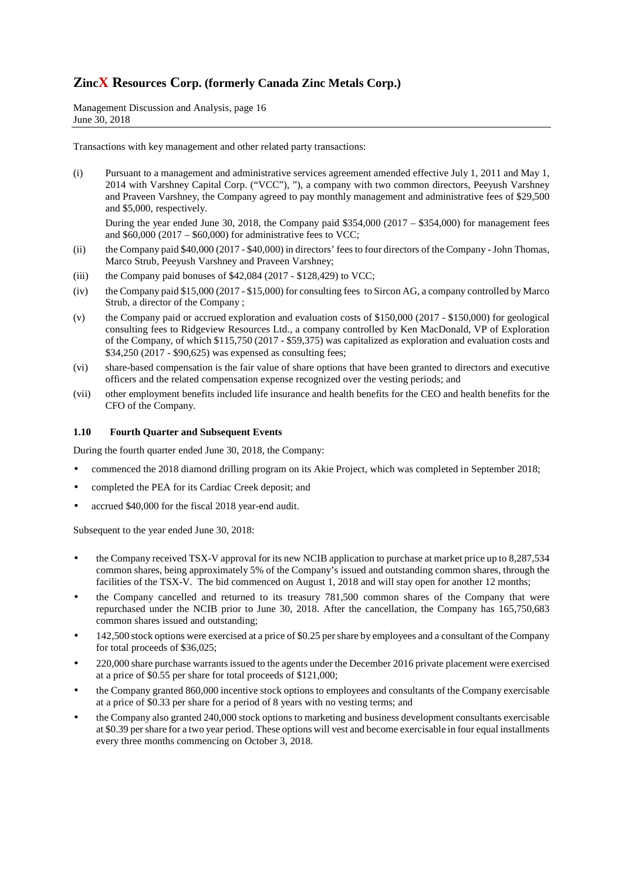Management Discussion and Analysis, page 16 June 30, 2018

Transactions with key management and other related party transactions:

(i) Pursuant to a management and administrative services agreement amended effective July 1, 2011 and May 1, 2014 with Varshney Capital Corp. ("VCC"), "), a company with two common directors, Peeyush Varshney and Praveen Varshney, the Company agreed to pay monthly management and administrative fees of \$29,500 and \$5,000, respectively.

During the year ended June 30, 2018, the Company paid  $$354,000 (2017 - $354,000)$  for management fees and  $$60,000 (2017 - $60,000)$  for administrative fees to VCC;

- (ii) the Company paid \$40,000 (2017 \$40,000) in directors' fees to four directors of the Company John Thomas, Marco Strub, Peeyush Varshney and Praveen Varshney;
- (iii) the Company paid bonuses of  $$42,084$  (2017 \$128,429) to VCC;
- (iv) the Company paid \$15,000 (2017 \$15,000) for consulting fees to Sircon AG, a company controlled by Marco Strub, a director of the Company ;
- (v) the Company paid or accrued exploration and evaluation costs of \$150,000 (2017 \$150,000) for geological consulting fees to Ridgeview Resources Ltd., a company controlled by Ken MacDonald, VP of Exploration of the Company, of which \$115,750 (2017 - \$59,375) was capitalized as exploration and evaluation costs and \$34,250 (2017 - \$90,625) was expensed as consulting fees;
- (vi) share-based compensation is the fair value of share options that have been granted to directors and executive officers and the related compensation expense recognized over the vesting periods; and
- (vii) other employment benefits included life insurance and health benefits for the CEO and health benefits for the CFO of the Company.

## **1.10 Fourth Quarter and Subsequent Events**

During the fourth quarter ended June 30, 2018, the Company:

- commenced the 2018 diamond drilling program on its Akie Project, which was completed in September 2018;
- completed the PEA for its Cardiac Creek deposit; and
- accrued \$40,000 for the fiscal 2018 year-end audit.

Subsequent to the year ended June 30, 2018:

- the Company received TSX-V approval for its new NCIB application to purchase at market price up to 8,287,534 common shares, being approximately 5% of the Company's issued and outstanding common shares, through the facilities of the TSX-V. The bid commenced on August 1, 2018 and will stay open for another 12 months;
- the Company cancelled and returned to its treasury 781,500 common shares of the Company that were repurchased under the NCIB prior to June 30, 2018. After the cancellation, the Company has 165,750,683 common shares issued and outstanding;
- 142,500 stock options were exercised at a price of \$0.25 per share by employees and a consultant of the Company for total proceeds of \$36,025;
- 220,000 share purchase warrants issued to the agents under the December 2016 private placement were exercised at a price of \$0.55 per share for total proceeds of \$121,000;
- the Company granted 860,000 incentive stock options to employees and consultants of the Company exercisable at a price of \$0.33 per share for a period of 8 years with no vesting terms; and
- the Company also granted 240,000 stock options to marketing and business development consultants exercisable at \$0.39 per share for a two year period. These options will vest and become exercisable in four equal installments every three months commencing on October 3, 2018.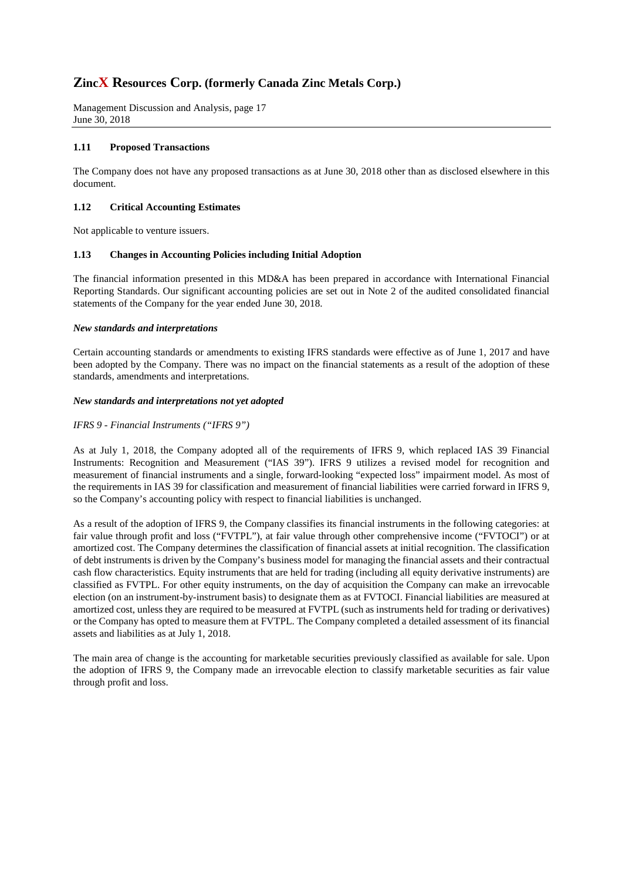Management Discussion and Analysis, page 17 June 30, 2018

### **1.11 Proposed Transactions**

The Company does not have any proposed transactions as at June 30, 2018 other than as disclosed elsewhere in this document.

### **1.12 Critical Accounting Estimates**

Not applicable to venture issuers.

#### **1.13 Changes in Accounting Policies including Initial Adoption**

The financial information presented in this MD&A has been prepared in accordance with International Financial Reporting Standards. Our significant accounting policies are set out in Note 2 of the audited consolidated financial statements of the Company for the year ended June 30, 2018.

#### *New standards and interpretations*

Certain accounting standards or amendments to existing IFRS standards were effective as of June 1, 2017 and have been adopted by the Company. There was no impact on the financial statements as a result of the adoption of these standards, amendments and interpretations.

#### *New standards and interpretations not yet adopted*

## *IFRS 9 - Financial Instruments ("IFRS 9")*

As at July 1, 2018, the Company adopted all of the requirements of IFRS 9, which replaced IAS 39 Financial Instruments: Recognition and Measurement ("IAS 39"). IFRS 9 utilizes a revised model for recognition and measurement of financial instruments and a single, forward-looking "expected loss" impairment model. As most of the requirements in IAS 39 for classification and measurement of financial liabilities were carried forward in IFRS 9, so the Company's accounting policy with respect to financial liabilities is unchanged.

As a result of the adoption of IFRS 9, the Company classifies its financial instruments in the following categories: at fair value through profit and loss ("FVTPL"), at fair value through other comprehensive income ("FVTOCI") or at amortized cost. The Company determines the classification of financial assets at initial recognition. The classification of debt instruments is driven by the Company's business model for managing the financial assets and their contractual cash flow characteristics. Equity instruments that are held for trading (including all equity derivative instruments) are classified as FVTPL. For other equity instruments, on the day of acquisition the Company can make an irrevocable election (on an instrument-by-instrument basis) to designate them as at FVTOCI. Financial liabilities are measured at amortized cost, unless they are required to be measured at FVTPL (such as instruments held for trading or derivatives) or the Company has opted to measure them at FVTPL. The Company completed a detailed assessment of its financial assets and liabilities as at July 1, 2018.

The main area of change is the accounting for marketable securities previously classified as available for sale. Upon the adoption of IFRS 9, the Company made an irrevocable election to classify marketable securities as fair value through profit and loss.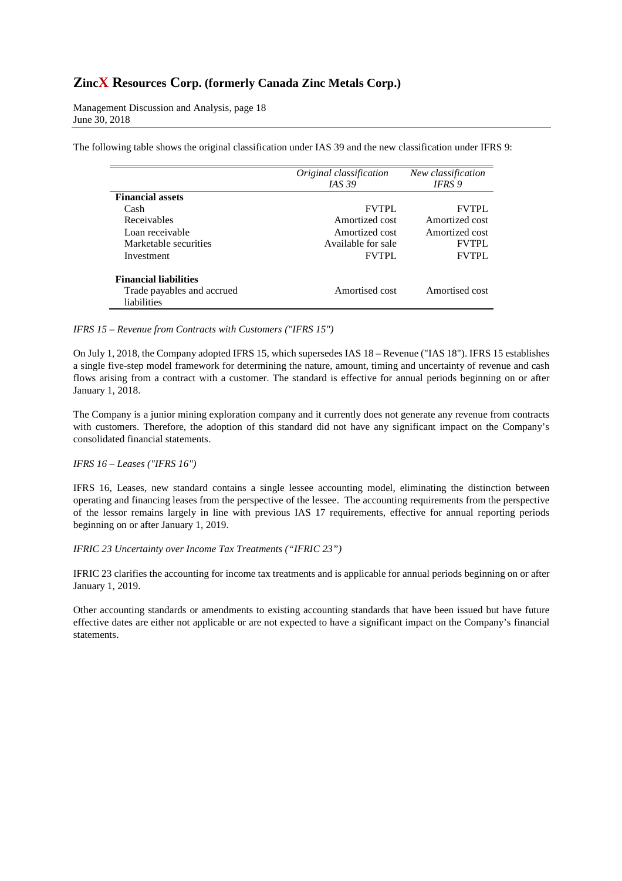Management Discussion and Analysis, page 18 June 30, 2018

The following table shows the original classification under IAS 39 and the new classification under IFRS 9:

|                              | Original classification | New classification |
|------------------------------|-------------------------|--------------------|
|                              | <i>IAS</i> 39           | IFRS 9             |
| <b>Financial assets</b>      |                         |                    |
| Cash                         | <b>FVTPL</b>            | <b>FVTPL</b>       |
| Receivables                  | Amortized cost          | Amortized cost     |
| Loan receivable              | Amortized cost          | Amortized cost     |
| Marketable securities        | Available for sale      | <b>FVTPL</b>       |
| Investment                   | <b>FVTPL</b>            | <b>FVTPL</b>       |
| <b>Financial liabilities</b> |                         |                    |
| Trade payables and accrued   | Amortised cost          | Amortised cost     |
| liabilities                  |                         |                    |

### *IFRS 15 – Revenue from Contracts with Customers ("IFRS 15")*

On July 1, 2018, the Company adopted IFRS 15, which supersedes IAS 18 – Revenue ("IAS 18"). IFRS 15 establishes a single five-step model framework for determining the nature, amount, timing and uncertainty of revenue and cash flows arising from a contract with a customer. The standard is effective for annual periods beginning on or after January 1, 2018.

The Company is a junior mining exploration company and it currently does not generate any revenue from contracts with customers. Therefore, the adoption of this standard did not have any significant impact on the Company's consolidated financial statements.

## *IFRS 16 – Leases ("IFRS 16")*

IFRS 16, Leases, new standard contains a single lessee accounting model, eliminating the distinction between operating and financing leases from the perspective of the lessee. The accounting requirements from the perspective of the lessor remains largely in line with previous IAS 17 requirements, effective for annual reporting periods beginning on or after January 1, 2019.

*IFRIC 23 Uncertainty over Income Tax Treatments ("IFRIC 23")* 

IFRIC 23 clarifies the accounting for income tax treatments and is applicable for annual periods beginning on or after January 1, 2019.

Other accounting standards or amendments to existing accounting standards that have been issued but have future effective dates are either not applicable or are not expected to have a significant impact on the Company's financial statements.